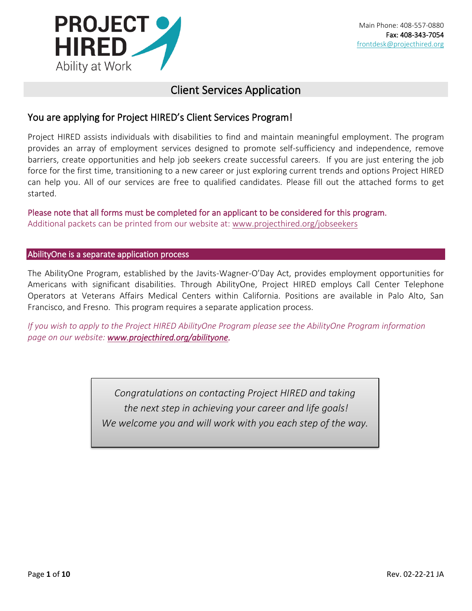

## Client Services Application

## You are applying for Project HIRED's Client Services Program!

Project HIRED assists individuals with disabilities to find and maintain meaningful employment. The program provides an array of employment services designed to promote self-sufficiency and independence, remove barriers, create opportunities and help job seekers create successful careers. If you are just entering the job force for the first time, transitioning to a new career or just exploring current trends and options Project HIRED can help you. All of our services are free to qualified candidates. Please fill out the attached forms to get started.

Please note that all forms must be completed for an applicant to be considered for this program. Additional packets can be printed from our website at: [www.projecthired.org/jobseekers](http://www.projecthired.org/jobseekers)

#### AbilityOne is a separate application process

The AbilityOne Program, established by the Javits-Wagner-O'Day Act, provides employment opportunities for Americans with significant disabilities. Through AbilityOne, Project HIRED employs Call Center Telephone Operators at Veterans Affairs Medical Centers within California. Positions are available in Palo Alto, San Francisco, and Fresno. This program requires a separate application process.

*If you wish to apply to the Project HIRED AbilityOne Program please see the AbilityOne Program information page on our website: [www.projecthired.org/abilityone.](http://www.projecthired.org/abilityone)*

> *Congratulations on contacting Project HIRED and taking the next step in achieving your career and life goals! We welcome you and will work with you each step of the way.*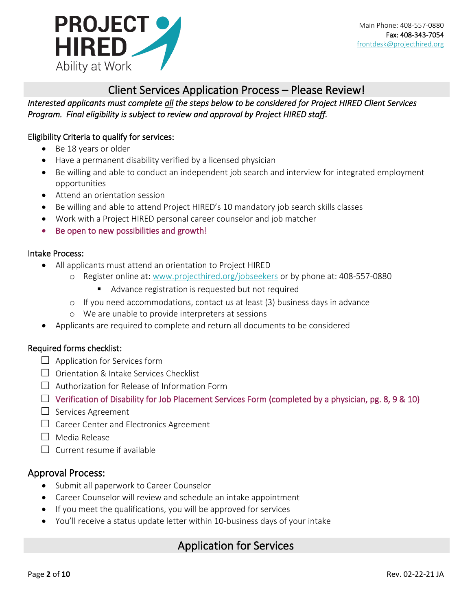

# Client Services Application Process – Please Review!

## *Interested applicants must complete all the steps below to be considered for Project HIRED Client Services Program. Final eligibility is subject to review and approval by Project HIRED staff.*

#### Eligibility Criteria to qualify for services:

- Be 18 years or older
- Have a permanent disability verified by a licensed physician
- Be willing and able to conduct an independent job search and interview for integrated employment opportunities
- Attend an orientation session
- Be willing and able to attend Project HIRED's 10 mandatory job search skills classes
- Work with a Project HIRED personal career counselor and job matcher
- Be open to new possibilities and growth!

#### Intake Process:

- All applicants must attend an orientation to Project HIRED
	- o Register online at: [www.projecthired.org/jobseekers](http://www.projecthired.org/jobseekers) or by phone at: 408-557-0880
		- Advance registration is requested but not required
	- o If you need accommodations, contact us at least (3) business days in advance
	- o We are unable to provide interpreters at sessions
- Applicants are required to complete and return all documents to be considered

#### Required forms checklist:

- $\Box$  Application for Services form
- □ Orientation & Intake Services Checklist
- $\Box$  Authorization for Release of Information Form
- $\Box$  Verification of Disability for Job Placement Services Form (completed by a physician, pg. 8, 9 & 10)
- $\Box$  Services Agreement
- $\Box$  Career Center and Electronics Agreement
- $\Box$  Media Release
- $\Box$  Current resume if available

## Approval Process:

- Submit all paperwork to Career Counselor
- Career Counselor will review and schedule an intake appointment
- If you meet the qualifications, you will be approved for services
- You'll receive a status update letter within 10-business days of your intake

## Application for Services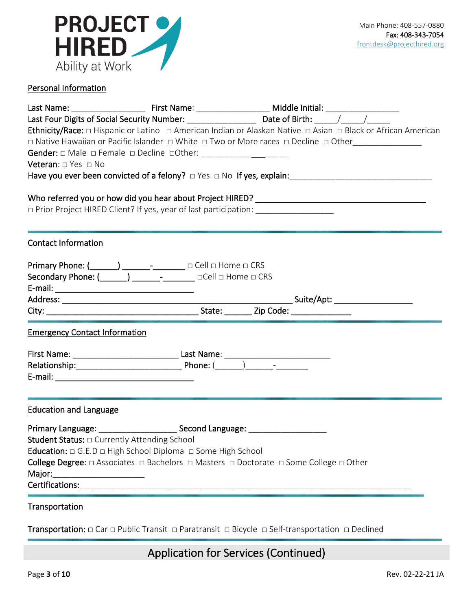

## Personal Information

|                                                                                                                                                                                                                         |                                                                                  | Ethnicity/Race: $\Box$ Hispanic or Latino $\Box$ American Indian or Alaskan Native $\Box$ Asian $\Box$ Black or African American |  |  |  |  |  |  |
|-------------------------------------------------------------------------------------------------------------------------------------------------------------------------------------------------------------------------|----------------------------------------------------------------------------------|----------------------------------------------------------------------------------------------------------------------------------|--|--|--|--|--|--|
| □ Native Hawaiian or Pacific Islander □ White □ Two or More races □ Decline □ Other<br>Gender: $\Box$ Male $\Box$ Female $\Box$ Decline $\Box$ Other: _________________________<br><b>Veteran:</b> $\Box$ Yes $\Box$ No |                                                                                  |                                                                                                                                  |  |  |  |  |  |  |
|                                                                                                                                                                                                                         |                                                                                  |                                                                                                                                  |  |  |  |  |  |  |
|                                                                                                                                                                                                                         |                                                                                  |                                                                                                                                  |  |  |  |  |  |  |
|                                                                                                                                                                                                                         | □ Prior Project HIRED Client? If yes, year of last participation: ______________ |                                                                                                                                  |  |  |  |  |  |  |
|                                                                                                                                                                                                                         |                                                                                  |                                                                                                                                  |  |  |  |  |  |  |
| <b>Contact Information</b>                                                                                                                                                                                              |                                                                                  |                                                                                                                                  |  |  |  |  |  |  |
|                                                                                                                                                                                                                         | Primary Phone: (_______) __________________ □ Cell □ Home □ CRS                  |                                                                                                                                  |  |  |  |  |  |  |
|                                                                                                                                                                                                                         | Secondary Phone: (_______) _______________________ aCell a Home a CRS            |                                                                                                                                  |  |  |  |  |  |  |
|                                                                                                                                                                                                                         |                                                                                  |                                                                                                                                  |  |  |  |  |  |  |
|                                                                                                                                                                                                                         |                                                                                  |                                                                                                                                  |  |  |  |  |  |  |
|                                                                                                                                                                                                                         |                                                                                  |                                                                                                                                  |  |  |  |  |  |  |
| <b>Emergency Contact Information</b>                                                                                                                                                                                    |                                                                                  |                                                                                                                                  |  |  |  |  |  |  |
|                                                                                                                                                                                                                         |                                                                                  |                                                                                                                                  |  |  |  |  |  |  |
|                                                                                                                                                                                                                         |                                                                                  |                                                                                                                                  |  |  |  |  |  |  |
|                                                                                                                                                                                                                         |                                                                                  |                                                                                                                                  |  |  |  |  |  |  |
|                                                                                                                                                                                                                         |                                                                                  |                                                                                                                                  |  |  |  |  |  |  |
| <b>Education and Language</b>                                                                                                                                                                                           |                                                                                  |                                                                                                                                  |  |  |  |  |  |  |
|                                                                                                                                                                                                                         |                                                                                  |                                                                                                                                  |  |  |  |  |  |  |
| <b>Student Status:</b> $\Box$ Currently Attending School                                                                                                                                                                |                                                                                  |                                                                                                                                  |  |  |  |  |  |  |
|                                                                                                                                                                                                                         | Education: $\Box$ G.E.D $\Box$ High School Diploma $\Box$ Some High School       |                                                                                                                                  |  |  |  |  |  |  |
|                                                                                                                                                                                                                         |                                                                                  |                                                                                                                                  |  |  |  |  |  |  |
|                                                                                                                                                                                                                         |                                                                                  |                                                                                                                                  |  |  |  |  |  |  |
|                                                                                                                                                                                                                         |                                                                                  |                                                                                                                                  |  |  |  |  |  |  |
|                                                                                                                                                                                                                         |                                                                                  |                                                                                                                                  |  |  |  |  |  |  |
| Transportation                                                                                                                                                                                                          |                                                                                  |                                                                                                                                  |  |  |  |  |  |  |

Transportation: □ Car □ Public Transit □ Paratransit □ Bicycle □ Self-transportation □ Declined

Application for Services (Continued)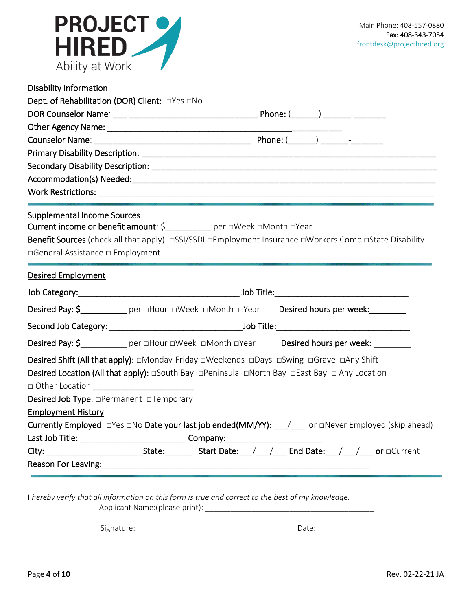

| <b>Disability Information</b>                                                                                                                   |  |  |  |                                                                                                        |
|-------------------------------------------------------------------------------------------------------------------------------------------------|--|--|--|--------------------------------------------------------------------------------------------------------|
| Dept. of Rehabilitation (DOR) Client: □Yes □No                                                                                                  |  |  |  |                                                                                                        |
|                                                                                                                                                 |  |  |  |                                                                                                        |
|                                                                                                                                                 |  |  |  |                                                                                                        |
|                                                                                                                                                 |  |  |  |                                                                                                        |
|                                                                                                                                                 |  |  |  |                                                                                                        |
|                                                                                                                                                 |  |  |  |                                                                                                        |
|                                                                                                                                                 |  |  |  |                                                                                                        |
|                                                                                                                                                 |  |  |  |                                                                                                        |
| <b>Supplemental Income Sources</b><br>Current income or benefit amount: \$ _________ per □Week □Month □Year<br>□General Assistance □ Employment |  |  |  |                                                                                                        |
| <b>Desired Employment</b>                                                                                                                       |  |  |  |                                                                                                        |
|                                                                                                                                                 |  |  |  |                                                                                                        |
| Desired Pay: \$_____________ per oHour oWeek oMonth oYear Desired hours per week:_________                                                      |  |  |  |                                                                                                        |
|                                                                                                                                                 |  |  |  |                                                                                                        |
| Desired Pay: \$____________ per □Hour □Week □Month □Year Desired hours per week: _______                                                        |  |  |  |                                                                                                        |
| <b>Desired Shift (All that apply):</b> □Monday-Friday □Weekends □Days □Swing □Grave □Any Shift                                                  |  |  |  |                                                                                                        |
| <b>Desired Location (All that apply):</b> $\Box$ South Bay $\Box$ Peninsula $\Box$ North Bay $\Box$ East Bay $\Box$ Any Location                |  |  |  |                                                                                                        |
| Desired Job Type: OPermanent OTemporary                                                                                                         |  |  |  |                                                                                                        |
| <b>Employment History</b>                                                                                                                       |  |  |  |                                                                                                        |
|                                                                                                                                                 |  |  |  | Currently Employed: □Yes □No Date your last job ended(MM/YY): ____/___ or □Never Employed (skip ahead) |
| Last Job Title: _______________________________Company: ________________________                                                                |  |  |  |                                                                                                        |
|                                                                                                                                                 |  |  |  |                                                                                                        |
|                                                                                                                                                 |  |  |  |                                                                                                        |

I *hereby verify that all information on this form is true and correct to the best of my knowledge.* Applicant Name:(please print): \_\_\_\_\_\_\_\_\_\_\_\_\_\_\_\_\_\_\_\_\_\_\_\_\_\_\_\_\_\_\_\_\_\_\_\_\_\_\_\_

Signature: \_\_\_\_\_\_\_\_\_\_\_\_\_\_\_\_\_\_\_\_\_\_\_\_\_\_\_\_\_\_\_\_\_\_\_\_\_\_Date: \_\_\_\_\_\_\_\_\_\_\_\_\_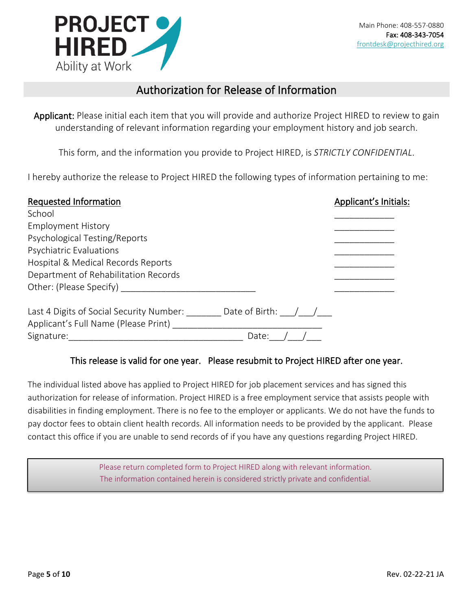

# Authorization for Release of Information

Applicant: Please initial each item that you will provide and authorize Project HIRED to review to gain understanding of relevant information regarding your employment history and job search.

This form, and the information you provide to Project HIRED, is *STRICTLY CONFIDENTIAL*.

I hereby authorize the release to Project HIRED the following types of information pertaining to me:

| <b>Requested Information</b>                                                                           | Applicant's Initials: |
|--------------------------------------------------------------------------------------------------------|-----------------------|
| School                                                                                                 |                       |
| <b>Employment History</b>                                                                              |                       |
| Psychological Testing/Reports                                                                          |                       |
| Psychiatric Evaluations                                                                                |                       |
| Hospital & Medical Records Reports                                                                     |                       |
| Department of Rehabilitation Records                                                                   |                       |
| Other: (Please Specify)                                                                                |                       |
| Last 4 Digits of Social Security Number:<br>Date of Birth: $/$<br>Applicant's Full Name (Please Print) |                       |
| Signature:<br>Date:                                                                                    |                       |

## This release is valid for one year. Please resubmit to Project HIRED after one year.

The individual listed above has applied to Project HIRED for job placement services and has signed this authorization for release of information. Project HIRED is a free employment service that assists people with disabilities in finding employment. There is no fee to the employer or applicants. We do not have the funds to pay doctor fees to obtain client health records. All information needs to be provided by the applicant. Please contact this office if you are unable to send records of if you have any questions regarding Project HIRED.

> Please return completed form to Project HIRED along with relevant information. The information contained herein is considered strictly private and confidential.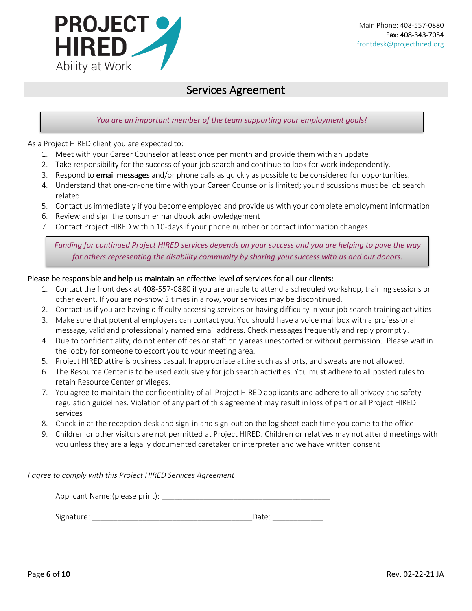

## Services Agreement

*You are an important member of the team supporting your employment goals!*

As a Project HIRED client you are expected to:

- 1. Meet with your Career Counselor at least once per month and provide them with an update
- 2. Take responsibility for the success of your job search and continue to look for work independently.
- 3. Respond to **email messages** and/or phone calls as quickly as possible to be considered for opportunities.
- 4. Understand that one-on-one time with your Career Counselor is limited; your discussions must be job search related.
- 5. Contact us immediately if you become employed and provide us with your complete employment information
- 6. Review and sign the consumer handbook acknowledgement
- 7. Contact Project HIRED within 10-days if your phone number or contact information changes

*Funding for continued Project HIRED services depends on your success and you are helping to pave the way for others representing the disability community by sharing your success with us and our donors.*

#### Please be responsible and help us maintain an effective level of services for all our clients:

- 1. Contact the front desk at 408-557-0880 if you are unable to attend a scheduled workshop, training sessions or other event. If you are no-show 3 times in a row, your services may be discontinued.
- 2. Contact us if you are having difficulty accessing services or having difficulty in your job search training activities
- 3. Make sure that potential employers can contact you. You should have a voice mail box with a professional message, valid and professionally named email address. Check messages frequently and reply promptly.
- 4. Due to confidentiality, do not enter offices or staff only areas unescorted or without permission. Please wait in the lobby for someone to escort you to your meeting area.
- 5. Project HIRED attire is business casual. Inappropriate attire such as shorts, and sweats are not allowed.
- 6. The Resource Center is to be used exclusively for job search activities. You must adhere to all posted rules to retain Resource Center privileges.
- 7. You agree to maintain the confidentiality of all Project HIRED applicants and adhere to all privacy and safety regulation guidelines. Violation of any part of this agreement may result in loss of part or all Project HIRED services
- 8. Check-in at the reception desk and sign-in and sign-out on the log sheet each time you come to the office
- 9. Children or other visitors are not permitted at Project HIRED. Children or relatives may not attend meetings with you unless they are a legally documented caretaker or interpreter and we have written consent

*I agree to comply with this Project HIRED Services Agreement*

| Applicant Name: (please print): |       |
|---------------------------------|-------|
|                                 |       |
| Signature:                      | Date: |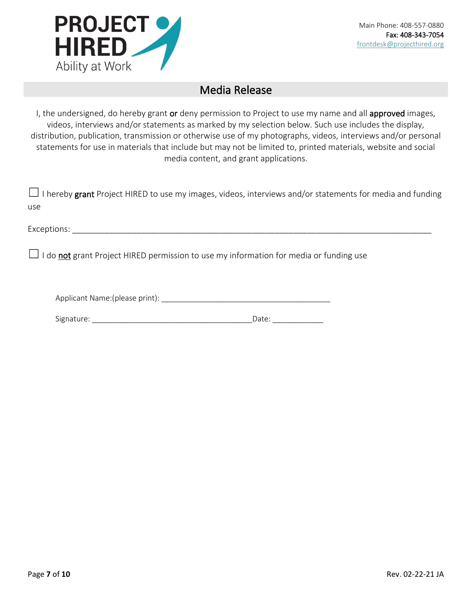

# Media Release

I, the undersigned, do hereby grant or deny permission to Project to use my name and all approved images, videos, interviews and/or statements as marked by my selection below. Such use includes the display, distribution, publication, transmission or otherwise use of my photographs, videos, interviews and/or personal statements for use in materials that include but may not be limited to, printed materials, website and social media content, and grant applications.

 $□$  I hereby grant Project HIRED to use my images, videos, interviews and/or statements for media and funding use

Exceptions:

 $\Box$  I do not grant Project HIRED permission to use my information for media or funding use

| Applicant Name: (please print): |  |
|---------------------------------|--|
|                                 |  |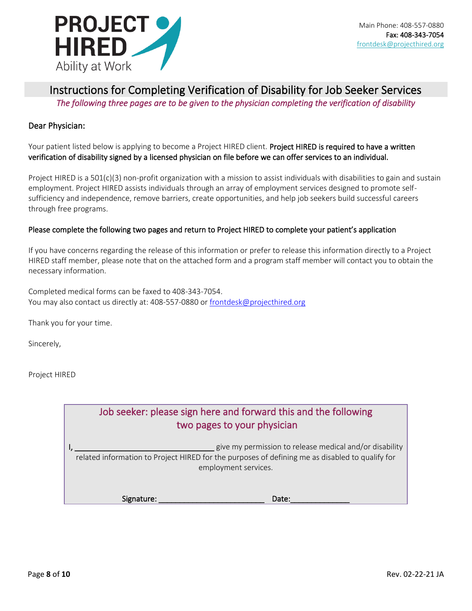

# Instructions for Completing Verification of Disability for Job Seeker Services

*The following three pages are to be given to the physician completing the verification of disability* 

#### Dear Physician:

Your patient listed below is applying to become a Project HIRED client. Project HIRED is required to have a written verification of disability signed by a licensed physician on file before we can offer services to an individual.

Project HIRED is a 501(c)(3) non-profit organization with a mission to assist individuals with disabilities to gain and sustain employment. Project HIRED assists individuals through an array of employment services designed to promote selfsufficiency and independence, remove barriers, create opportunities, and help job seekers build successful careers through free programs.

#### Please complete the following two pages and return to Project HIRED to complete your patient's application

If you have concerns regarding the release of this information or prefer to release this information directly to a Project HIRED staff member, please note that on the attached form and a program staff member will contact you to obtain the necessary information.

Completed medical forms can be faxed to 408-343-7054. You may also contact us directly at: 408-557-0880 or [frontdesk@projecthired.org](mailto:frontdesk@projecthired.org)

Thank you for your time.

Sincerely,

Project HIRED

## Job seeker: please sign here and forward this and the following two pages to your physician

give my permission to release medical and/or disability related information to Project HIRED for the purposes of defining me as disabled to qualify for employment services.

Signature: \_\_\_\_\_\_\_\_\_\_\_\_\_\_\_\_\_\_\_\_\_\_\_\_\_\_\_\_\_\_\_\_\_\_Date: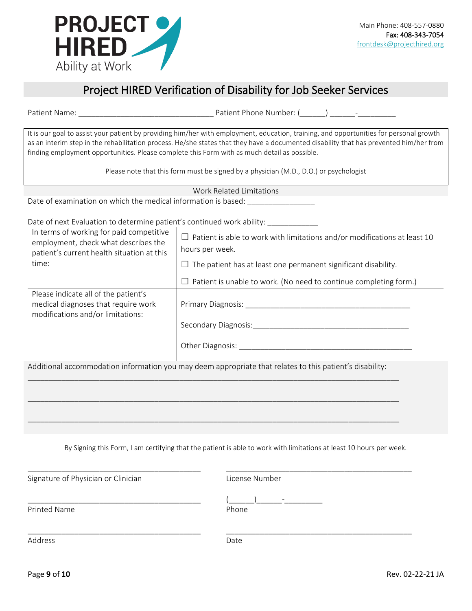

# Project HIRED Verification of Disability for Job Seeker Services

| Patient Name:                                                                                                                  | example and the Parisippine Number: (Comparison of the Planck School and the Planck School and the P                                                                                                                                                                                                                                                                      |
|--------------------------------------------------------------------------------------------------------------------------------|---------------------------------------------------------------------------------------------------------------------------------------------------------------------------------------------------------------------------------------------------------------------------------------------------------------------------------------------------------------------------|
| finding employment opportunities. Please complete this Form with as much detail as possible.                                   | It is our goal to assist your patient by providing him/her with employment, education, training, and opportunities for personal growth<br>as an interim step in the rehabilitation process. He/she states that they have a documented disability that has prevented him/her from<br>Please note that this form must be signed by a physician (M.D., D.O.) or psychologist |
|                                                                                                                                |                                                                                                                                                                                                                                                                                                                                                                           |
|                                                                                                                                | <b>Work Related Limitations</b>                                                                                                                                                                                                                                                                                                                                           |
| Date of examination on which the medical information is based: _________________                                               |                                                                                                                                                                                                                                                                                                                                                                           |
| Date of next Evaluation to determine patient's continued work ability:                                                         |                                                                                                                                                                                                                                                                                                                                                                           |
| In terms of working for paid competitive<br>employment, check what describes the<br>patient's current health situation at this | $\Box$ Patient is able to work with limitations and/or modifications at least 10<br>hours per week.                                                                                                                                                                                                                                                                       |
| time:                                                                                                                          | $\Box$ The patient has at least one permanent significant disability.                                                                                                                                                                                                                                                                                                     |
|                                                                                                                                | $\Box$ Patient is unable to work. (No need to continue completing form.)                                                                                                                                                                                                                                                                                                  |
| Please indicate all of the patient's<br>medical diagnoses that require work<br>modifications and/or limitations:               | Primary Diagnosis: New York Changes and Service Changes and Service Changes and Service Changes and Service Changes                                                                                                                                                                                                                                                       |
|                                                                                                                                |                                                                                                                                                                                                                                                                                                                                                                           |
|                                                                                                                                |                                                                                                                                                                                                                                                                                                                                                                           |
|                                                                                                                                | Additional accommodation information you may deem appropriate that relates to this patient's disability:                                                                                                                                                                                                                                                                  |
|                                                                                                                                |                                                                                                                                                                                                                                                                                                                                                                           |
|                                                                                                                                | By Signing this Form, I am certifying that the patient is able to work with limitations at least 10 hours per week.                                                                                                                                                                                                                                                       |
| Signature of Physician or Clinician                                                                                            | License Number                                                                                                                                                                                                                                                                                                                                                            |
| <b>Printed Name</b>                                                                                                            | Phone                                                                                                                                                                                                                                                                                                                                                                     |
| Address                                                                                                                        | Date                                                                                                                                                                                                                                                                                                                                                                      |